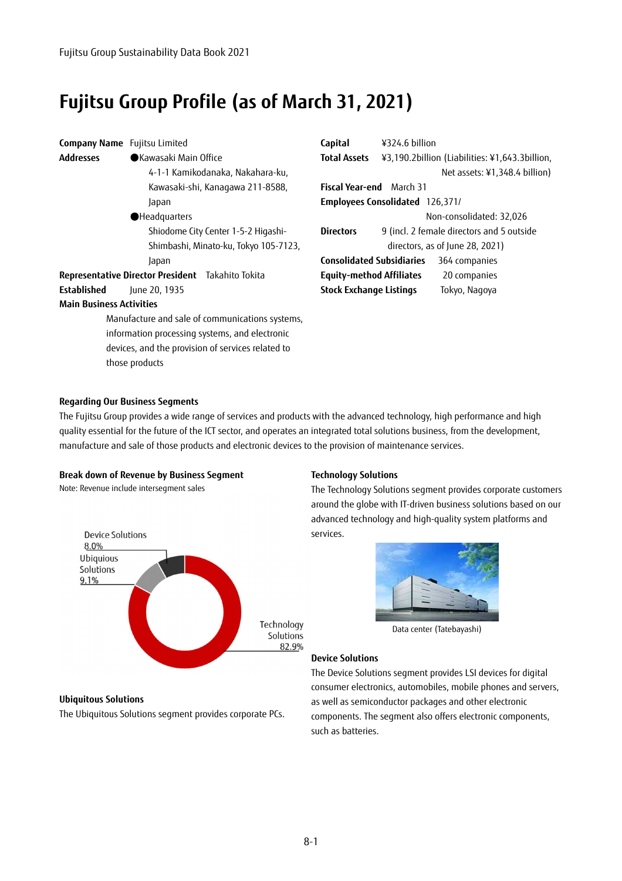# **Fujitsu Group Profile (as of March 31, 2021)**

| <b>Company Name</b> Fujitsu Limited               |                       |                                                 | Capital           |
|---------------------------------------------------|-----------------------|-------------------------------------------------|-------------------|
| Addresses                                         | ●Kawasaki Main Office |                                                 | <b>Total Ass</b>  |
|                                                   |                       | 4-1-1 Kamikodanaka, Nakahara-ku,                |                   |
|                                                   |                       | Kawasaki-shi, Kanagawa 211-8588,                | <b>Fiscal Yea</b> |
|                                                   | Japan                 |                                                 | <b>Employe</b>    |
|                                                   | Headquarters          |                                                 |                   |
|                                                   |                       | Shiodome City Center 1-5-2 Higashi-             | <b>Directors</b>  |
|                                                   |                       | Shimbashi, Minato-ku, Tokyo 105-7123,           |                   |
|                                                   | Japan                 |                                                 | Consolida         |
| Representative Director President Takahito Tokita |                       |                                                 | Equity-m          |
| Established                                       | June 20, 1935         |                                                 | <b>Stock Exc</b>  |
| <b>Main Business Activities</b>                   |                       |                                                 |                   |
|                                                   |                       | Manufacture and sale of communications systems, |                   |
|                                                   |                       | information processing systems, and electronic  |                   |

devices, and the provision of services related to

| Capital                                | ¥324.6 billion                                 |                               |  |  |
|----------------------------------------|------------------------------------------------|-------------------------------|--|--|
| <b>Total Assets</b>                    | ¥3,190.2billion (Liabilities: ¥1,643.3billion, |                               |  |  |
|                                        |                                                | Net assets: ¥1,348.4 billion) |  |  |
| <b>Fiscal Year-end</b> March 31        |                                                |                               |  |  |
| <b>Employees Consolidated</b> 126,371/ |                                                |                               |  |  |
|                                        |                                                | Non-consolidated: 32,026      |  |  |
| Directors                              | 9 (incl. 2 female directors and 5 outside      |                               |  |  |
| directors, as of June 28, 2021)        |                                                |                               |  |  |
| <b>Consolidated Subsidiaries</b>       |                                                | 364 companies                 |  |  |
| <b>Equity-method Affiliates</b>        |                                                | 20 companies                  |  |  |
| <b>Stock Exchange Listings</b>         |                                                | Tokyo, Nagoya                 |  |  |

### **Regarding Our Business Segments**

those products

The Fujitsu Group provides a wide range of services and products with the advanced technology, high performance and high quality essential for the future of the ICT sector, and operates an integrated total solutions business, from the development, manufacture and sale of those products and electronic devices to the provision of maintenance services.

#### **Break down of Revenue by Business Segment**

Note: Revenue include intersegment sales



### **Technology Solutions**

The Technology Solutions segment provides corporate customers around the globe with IT-driven business solutions based on our advanced technology and high-quality system platforms and services.



Data center (Tatebayashi)

## **Device Solutions**

The Device Solutions segment provides LSI devices for digital consumer electronics, automobiles, mobile phones and servers, as well as semiconductor packages and other electronic components. The segment also offers electronic components, such as batteries.

#### **Ubiquitous Solutions**

The Ubiquitous Solutions segment provides corporate PCs.